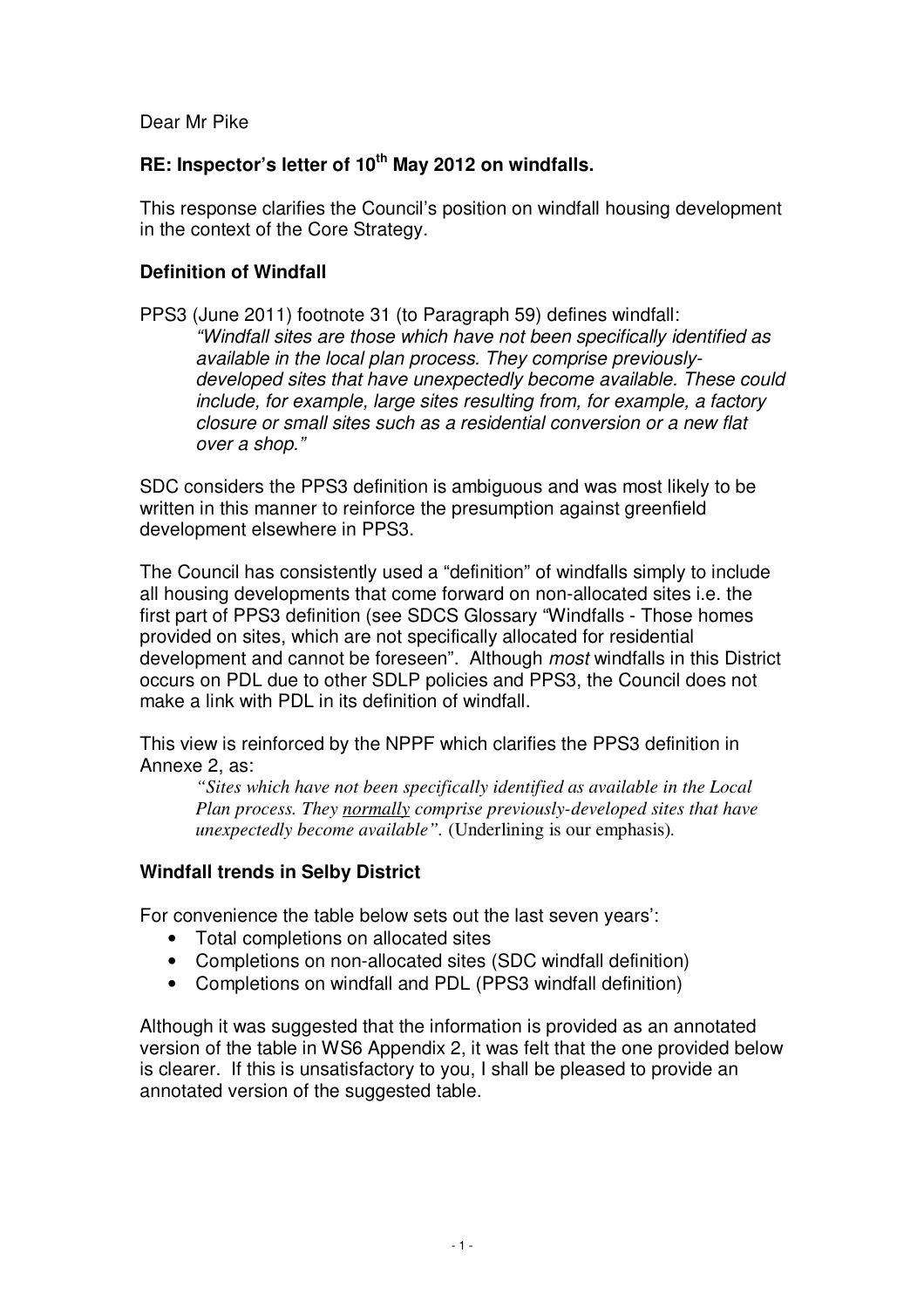Dear Mr Pike

## **RE: Inspector's letter of 10 th May 2012 on windfalls.**

This response clarifies the Council's position on windfall housing development in the context of the Core Strategy.

## **Definition of Windfall**

PPS3 (June 2011) footnote 31 (to Paragraph 59) defines windfall: *"Windfall sites are those which have not been specifically identified as available in the local plan process. They comprise previouslydeveloped sites that have unexpectedly become available. These could include, for example, large sites resulting from, for example, a factory closure or small sites such as a residential conversion or a new flat over a shop."*

SDC considers the PPS3 definition is ambiguous and was most likely to be written in this manner to reinforce the presumption against greenfield development elsewhere in PPS3.

The Council has consistently used a "definition" of windfalls simply to include all housing developments that come forward on non-allocated sites i.e. the first part of PPS3 definition (see SDCS Glossary "Windfalls - Those homes provided on sites, which are not specifically allocated for residential development and cannot be foreseen". Although *most* windfalls in this District occurs on PDL due to other SDLP policies and PPS3, the Council does not make a link with PDL in its definition of windfall.

This view is reinforced by the NPPF which clarifies the PPS3 definition in Annexe 2, as:

*"Sites which have not been specifically identified as available in the Local Plan process. They normally comprise previously-developed sites that have unexpectedly become available".* (Underlining is our emphasis)*.*

## **Windfall trends in Selby District**

For convenience the table below sets out the last seven years':

- Total completions on allocated sites
- Completions on non-allocated sites (SDC windfall definition)
- Completions on windfall and PDL (PPS3 windfall definition)

Although it was suggested that the information is provided as an annotated version of the table in WS6 Appendix 2, it was felt that the one provided below is clearer. If this is unsatisfactory to you, I shall be pleased to provide an annotated version of the suggested table.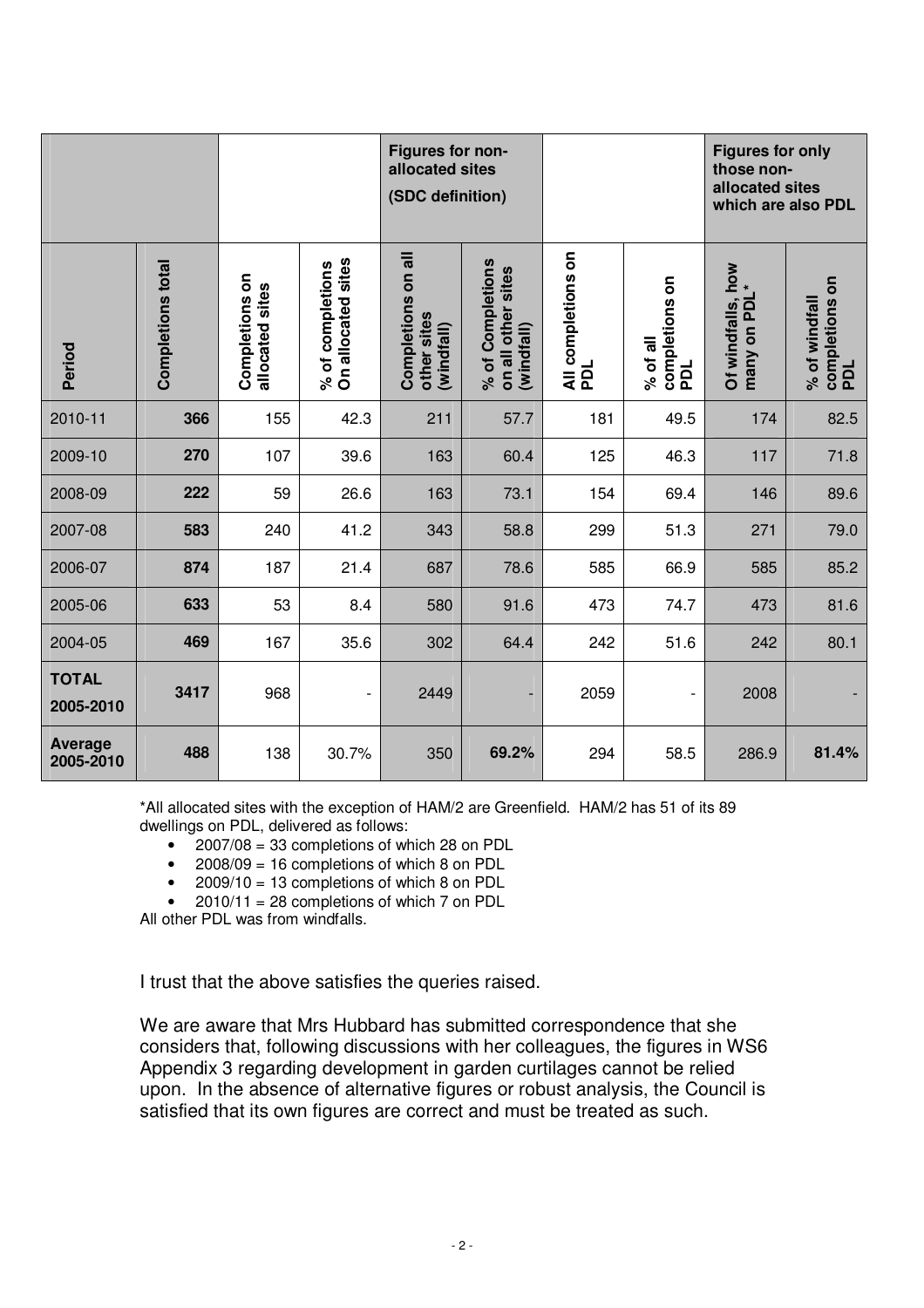|                             |                   |                                   |                                        | Figures for non-<br>allocated sites<br>(SDC definition) |                                                      |                           |                                   | <b>Figures for only</b><br>those non-<br>allocated sites<br>which are also PDL |                                        |
|-----------------------------|-------------------|-----------------------------------|----------------------------------------|---------------------------------------------------------|------------------------------------------------------|---------------------------|-----------------------------------|--------------------------------------------------------------------------------|----------------------------------------|
| Period                      | Completions total | Completions on<br>allocated sites | On allocated sites<br>% of completions | Completions on all<br>other sites<br>(windfall)         | % of Completions<br>on all other sites<br>(windfall) | All completions on<br>PDL | completions on<br>PDL<br>% of all | Of windfalls, how<br>many on BDI *<br>many on PDI                              | completions on<br>% of windfall<br>pol |
| 2010-11                     | 366               | 155                               | 42.3                                   | 211                                                     | 57.7                                                 | 181                       | 49.5                              | 174                                                                            | 82.5                                   |
| 2009-10                     | 270               | 107                               | 39.6                                   | 163                                                     | 60.4                                                 | 125                       | 46.3                              | 117                                                                            | 71.8                                   |
| 2008-09                     | 222               | 59                                | 26.6                                   | 163                                                     | 73.1                                                 | 154                       | 69.4                              | 146                                                                            | 89.6                                   |
| 2007-08                     | 583               | 240                               | 41.2                                   | 343                                                     | 58.8                                                 | 299                       | 51.3                              | 271                                                                            | 79.0                                   |
| 2006-07                     | 874               | 187                               | 21.4                                   | 687                                                     | 78.6                                                 | 585                       | 66.9                              | 585                                                                            | 85.2                                   |
| 2005-06                     | 633               | 53                                | 8.4                                    | 580                                                     | 91.6                                                 | 473                       | 74.7                              | 473                                                                            | 81.6                                   |
| 2004-05                     | 469               | 167                               | 35.6                                   | 302                                                     | 64.4                                                 | 242                       | 51.6                              | 242                                                                            | 80.1                                   |
| <b>TOTAL</b><br>2005-2010   | 3417              | 968                               | $\overline{\phantom{a}}$               | 2449                                                    | ٠                                                    | 2059                      | $\overline{\phantom{0}}$          | 2008                                                                           |                                        |
| <b>Average</b><br>2005-2010 | 488               | 138                               | 30.7%                                  | 350                                                     | 69.2%                                                | 294                       | 58.5                              | 286.9                                                                          | 81.4%                                  |

\*All allocated sites with the exception of HAM/2 are Greenfield. HAM/2 has 51 of its 89 dwellings on PDL, delivered as follows:

- 2007/08 = 33 completions of which 28 on PDL
- 2008/09 = 16 completions of which 8 on PDL
- 2009/10 = 13 completions of which 8 on PDL
- $\bullet$  2010/11 = 28 completions of which 7 on PDL

All other PDL was from windfalls.

I trust that the above satisfies the queries raised.

We are aware that Mrs Hubbard has submitted correspondence that she considers that, following discussions with her colleagues, the figures in WS6 Appendix 3 regarding development in garden curtilages cannot be relied upon. In the absence of alternative figures or robust analysis, the Council is satisfied that its own figures are correct and must be treated as such.